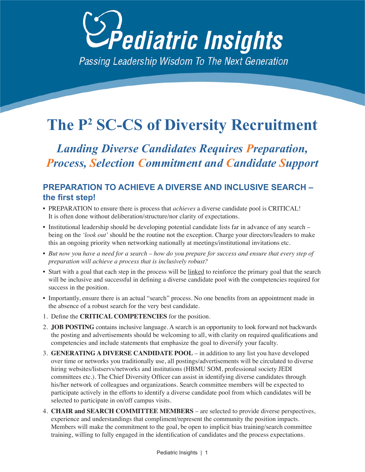

# **The P2 SC-CS of Diversity Recruitment**

*Landing Diverse Candidates Requires Preparation, Process, Selection Commitment and Candidate Support*

# **PREPARATION TO ACHIEVE A DIVERSE AND INCLUSIVE SEARCH – the first step!**

- PREPARATION to ensure there is process that *achieves* a diverse candidate pool is CRITICAL! It is often done without deliberation/structure/nor clarity of expectations.
- Institutional leadership should be developing potential candidate lists far in advance of any search being on the *'look out'* should be the routine not the exception. Charge your directors/leaders to make this an ongoing priority when networking nationally at meetings/institutional invitations etc.
- *But now you have a need for a search how do you prepare for success and ensure that every step of preparation will achieve a process that is inclusively robust?*
- Start with a goal that each step in the process will be linked to reinforce the primary goal that the search will be inclusive and successful in defining a diverse candidate pool with the competencies required for success in the position.
- Importantly, ensure there is an actual "search" process. No one benefits from an appointment made in the absence of a robust search for the very best candidate.
- 1. Define the **CRITICAL COMPETENCIES** for the position.
- 2. **JOB POSTING** contains inclusive language. A search is an opportunity to look forward not backwards the posting and advertisements should be welcoming to all, with clarity on required qualifications and competencies and include statements that emphasize the goal to diversify your faculty.
- 3. **GENERATING A DIVERSE CANDIDATE POOL** in addition to any list you have developed over time or networks you traditionally use, all postings/advertisements will be circulated to diverse hiring websites/listservs/networks and institutions (HBMU SOM, professional society JEDI committees etc.). The Chief Diversity Officer can assist in identifying diverse candidates through his/her network of colleagues and organizations. Search committee members will be expected to participate actively in the efforts to identify a diverse candidate pool from which candidates will be selected to participate in on/off campus visits.
- 4. **CHAIR and SEARCH COMMITTEE MEMBERS** are selected to provide diverse perspectives, experience and understandings that compliment/represent the community the position impacts. Members will make the commitment to the goal, be open to implicit bias training/search committee training, willing to fully engaged in the identification of candidates and the process expectations.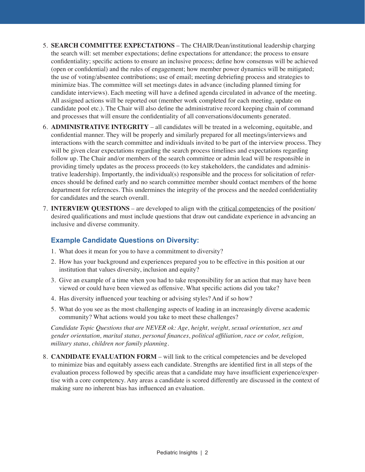- 5. **SEARCH COMMITTEE EXPECTATIONS** The CHAIR/Dean/institutional leadership charging the search will: set member expectations; define expectations for attendance; the process to ensure confidentiality; specific actions to ensure an inclusive process; define how consensus will be achieved (open or confidential) and the rules of engagement; how member power dynamics will be mitigated; the use of voting/absentee contributions; use of email; meeting debriefing process and strategies to minimize bias. The committee will set meetings dates in advance (including planned timing for candidate interviews). Each meeting will have a defined agenda circulated in advance of the meeting. All assigned actions will be reported out (member work completed for each meeting, update on candidate pool etc.). The Chair will also define the administrative record keeping chain of command and processes that will ensure the confidentiality of all conversations/documents generated.
- 6. **ADMINISTRATIVE INTEGRITY** all candidates will be treated in a welcoming, equitable, and confidential manner. They will be properly and similarly prepared for all meetings/interviews and interactions with the search committee and individuals invited to be part of the interview process. They will be given clear expectations regarding the search process timelines and expectations regarding follow up. The Chair and/or members of the search committee or admin lead will be responsible in providing timely updates as the process proceeds (to key stakeholders, the candidates and administrative leadership). Importantly, the individual(s) responsible and the process for solicitation of references should be defined early and no search committee member should contact members of the home department for references. This undermines the integrity of the process and the needed confidentiality for candidates and the search overall.
- 7. **INTERVIEW QUESTIONS** are developed to align with the critical competencies of the position/ desired qualifications and must include questions that draw out candidate experience in advancing an inclusive and diverse community.

## **Example Candidate Questions on Diversity:**

- 1. What does it mean for you to have a commitment to diversity?
- 2. How has your background and experiences prepared you to be effective in this position at our institution that values diversity, inclusion and equity?
- 3. Give an example of a time when you had to take responsibility for an action that may have been viewed or could have been viewed as offensive. What specific actions did you take?
- 4. Has diversity influenced your teaching or advising styles? And if so how?
- 5. What do you see as the most challenging aspects of leading in an increasingly diverse academic community? What actions would you take to meet these challenges?

*Candidate Topic Questions that are NEVER ok: Age, height, weight, sexual orientation, sex and gender orientation, marital status, personal finances, political affiliation, race or color, religion, military status, children nor family planning.*

8. **CANDIDATE EVALUATION FORM** – will link to the critical competencies and be developed to minimize bias and equitably assess each candidate. Strengths are identified first in all steps of the evaluation process followed by specific areas that a candidate may have insufficient experience/expertise with a core competency. Any areas a candidate is scored differently are discussed in the context of making sure no inherent bias has influenced an evaluation.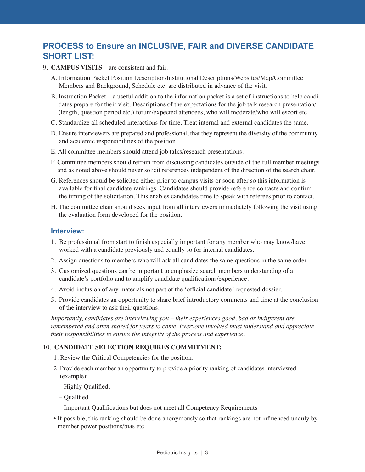## **PROCESS to Ensure an INCLUSIVE, FAIR and DIVERSE CANDIDATE SHORT LIST:**

- 9. **CAMPUS VISITS** are consistent and fair.
	- A. Information Packet Position Description/Institutional Descriptions/Websites/Map/Committee Members and Background, Schedule etc. are distributed in advance of the visit.
	- B. Instruction Packet a useful addition to the information packet is a set of instructions to help candidates prepare for their visit. Descriptions of the expectations for the job talk research presentation/ (length, question period etc.) forum/expected attendees, who will moderate/who will escort etc.
	- C. Standardize all scheduled interactions for time. Treat internal and external candidates the same.
	- D. Ensure interviewers are prepared and professional, that they represent the diversity of the community and academic responsibilities of the position.
	- E. All committee members should attend job talks/research presentations.
	- F. Committee members should refrain from discussing candidates outside of the full member meetings and as noted above should never solicit references independent of the direction of the search chair.
	- G. References should be solicited either prior to campus visits or soon after so this information is available for final candidate rankings. Candidates should provide reference contacts and confirm the timing of the solicitation. This enables candidates time to speak with referees prior to contact.
	- H. The committee chair should seek input from all interviewers immediately following the visit using the evaluation form developed for the position.

#### **Interview:**

- 1. Be professional from start to finish especially important for any member who may know/have worked with a candidate previously and equally so for internal candidates.
- 2. Assign questions to members who will ask all candidates the same questions in the same order.
- 3. Customized questions can be important to emphasize search members understanding of a candidate's portfolio and to amplify candidate qualifications/experience.
- 4. Avoid inclusion of any materials not part of the 'official candidate' requested dossier.
- 5. Provide candidates an opportunity to share brief introductory comments and time at the conclusion of the interview to ask their questions.

*Importantly, candidates are interviewing you – their experiences good, bad or indifferent are remembered and often shared for years to come. Everyone involved must understand and appreciate their responsibilities to ensure the integrity of the process and experience.* 

### 10. **CANDIDATE SELECTION REQUIRES COMMITMENT:**

- 1. Review the Critical Competencies for the position.
- 2. Provide each member an opportunity to provide a priority ranking of candidates interviewed (example):
	- Highly Qualified,
	- Qualified
	- Important Qualifications but does not meet all Competency Requirements
- If possible, this ranking should be done anonymously so that rankings are not influenced unduly by member power positions/bias etc.